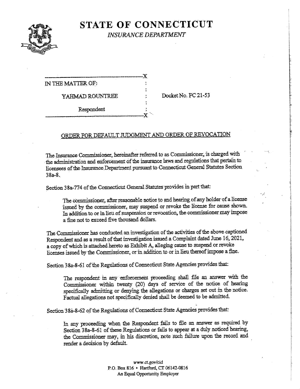

# **STATE OF CONNECTICUT**

**INSURANCE DEPARTMENT** 

 $\mathbf x$ IN THE MATTER OF YAHMAD ROUNTREE Respondent

Docket No. FC 21-53

### ORDER FOR DEFAULT JUDGMENT AND ORDER OF REVOCATION

The Insurance Commissioner, hereinafter referred to as Commissioner, is charged with the administration and enforcement of the insurance laws and regulations that pertain to licensees of the Insurance Department pursuant to Connecticut General Statutes Section  $38a-8.$ 

Section 38a-774 of the Connecticut General Statutes provides in part that:

The commissioner, after reasonable notice to and hearing of any holder of a license issued by the commissioner, may suspend or revoke the license for cause shown. In addition to or in lieu of suspension or revocation, the commissioner may impose a fine not to exceed five thousand dollars.

The Commissioner has conducted an investigation of the activities of the above captioned Respondent and as a result of that investigation issued a Complaint dated June 16, 2021, a copy of which is attached hereto as Exhibit A, alleging cause to suspend or revoke licenses issued by the Commissioner, or in addition to or in lieu thereof impose a fine.

Section 38a-8-61 of the Regulations of Connecticut State Agencies provides that:

The respondent in any enforcement proceeding shall file an answer with the Commissioner within twenty (20) days of service of the notice of hearing specifically admitting or denying the allegations or charges set out in the notice. Factual allegations not specifically denied shall be deemed to be admitted.

Section 38a-8-62 of the Regulations of Connecticut State Agencies provides that:

In any proceeding when the Respondent fails to file an answer as required by Section 38a-8-61 of these Regulations or fails to appear at a duly noticed hearing, the Commissioner may, in his discretion, note such failure upon the record and render a decision by default.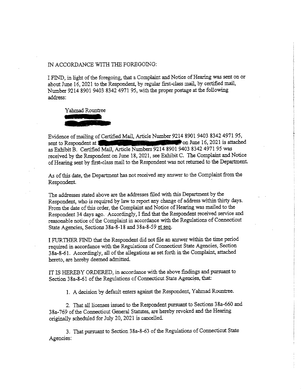### IN ACCORDANCE WITH THE FOREGOING:

I FIND, in Hglit of the foregoing, that a Complaint and Notice of Hearing was sent on or about June 16, 2021 to the Respondent, by regular first-class mail, by certified mail, Number 9214 8901 9403 8342 4971 95, with the proper postage at the following address:



Evidence of mailing of Certified Mail, Article Number 9214 8901 9403 8342 4971 95, sent to Respondent at 100 million of the U.S. 2021 is attached as Exhibit B. Certified Mail, Article Numbers 9214 8901 9403 8342 4971 95 was received by the Respondent on June 18,2021, see Exhibit C. The Complaint and Notice of Hearing sent by first-class mail to the Respondent was not returned to the Department.

As of this date, the Department has not received any answer to the Complaint from the Respondent.

The addresses stated above are the addresses filed with this Department by the Respondent, who is required by law to report any change of address within thirty days. From the date of this order, the Complaint and Notice of Hearing was mailed to the Respondent 34 days ago. Accordingly, 1 find that the Respondent received service and reasonable notice of the Complaint in accordance with the Regulations of Connecticut State Agencies, Sections 38a-8-18 and 38a-8-59 et seq.

I FURTHER FIND that the Respondent did not file an answer within the time period required in accordance with the Regulations of Connecticut State Agencies, Section 38a-8-61. Accordingly, all of the allegations as set forth in the Complaint, attached hereto, are hereby deemed admitted.

IT IS HEREBY ORDERED, in accordance with the above findings and pursuant to Section 38a-8-61 of the Regulations of Connecticut State Agencies, that:

1. A decision by default enters against the Respondent, Yahmad Rountree.

2. That all licenses issued to the Respondent pursuant to Sections 38a-660 and 38a-769 of the Connecticut General Statutes, are hereby revoked and the Hearing originally scheduled for July 20,2021 is cancelled.

3. That pursuant to Section 38a-8-63 of the Regulations of Connecticut State Agencies: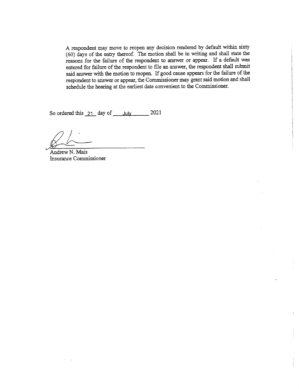A respondent may move to reopen any decision rendered by default within sixty (60) days of the entry thereof. The motion shall be in writing and shall state the reasons for the failure of the respondent to answer or appear. If a default was entered for failure of the respondent to file an answer, the respondent shall submit said answer with the motion to reopen. If good cause appears for the failure of the respondent to answer or appear, the Commissioner may grant said motion and shall schedule the hearing at the earliest date convenient to the Commissioner.

So ordered this  $21$  day of July 2021

Andrew N. Mais Insurance Commissioner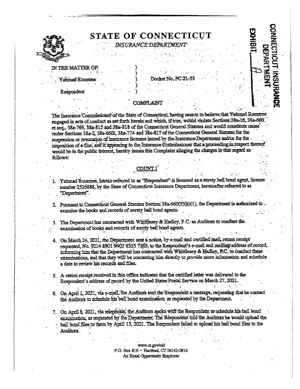

## **STATE OF CONNECTION**

### **INSURANCE DEPARTME**

CONNECTICUT

**INSURAN** 

**DEPARTMEN** 

### **N THE MATTER OF**

ahmad Rountree

### Docket No. FC

Respondent

### COMPLAINT

The Insurance Commissioner of the State of Connecticut, having reason to believe that Yahmad Rountree engaged in acts of conduct as set forth herein and which, if true, would violate Sections 38a-16, 38a-660. et seq., 38a-769, 38a-815 and 38a-818 of the Connecticut General Statutes and would constitute cause under Sections 38a-2, 38a-6601, 38a-774 and 38a-817 of the Connecticut General Statutes for the suspension or revocation of insurance licenses issued by the Insurance Department and/or for the imposition of a fine, and it appearing to the Insurance Commissioner that a proceeding in respect thereof would be in the public interest, hereby issues this Complaint alleging the charges in that regard as follows:

### COUN

- 1. Yahmad Rountree, herein referred to as "Respondent" is licensed as a surety bail bond agent, license number 2526888, by the State of Connecticut Insurance Department, hereinafter refeared to as "Department".
- 2. Pursuant to Connectioni General Statutes Section 38a-660(9)(k)(1), the Department is authorized to examine the books and records of surety bail bond agents.
- 3. The Department has contracted with Whitlesey & Hadley, P.C. as Auditors to conduct the examination of books and records of surety bail bond agents.
- 4. On March 24, 2021, the Department sent a notice, by e-mail and certified mail, return receipt requested, No. 9214 8901 9403 8335 7365, to the Respondent's e-mail and mailing address of record, informing him that the Department has contracted with Whitelesey & Hadley, P.C. to conduct these examinations, and that they will be contacting him directly to provide more information and schedule a date to review his records and files.
- 5. A return receipt received in this office indicates that the certified letter was delivered to the Respondent's address of record by the United States Postal Service on March 27, 2021.
- 6. On April 1, 2021, via e-mail, the Auditors sent the Respondent a message, requesting that he contact the Auditors to schedule his bail bond examination, as requested by the Department.

 $f = 4.2 - 1$ 

7. On April 8, 2021, via telephone, the Auditors spoke with the Respondent to schedule his bail bond examination, as requested by the Department. The Respondent told the Auditors he would upload the bail bond files to them by April 15, 2021. The Respondent failed to upload his bail bond files to the Auditors.

> www.ct.gov/cid P.O. Box 816 · Hartford, CT 06142-0816 An Equal Opportunity Employer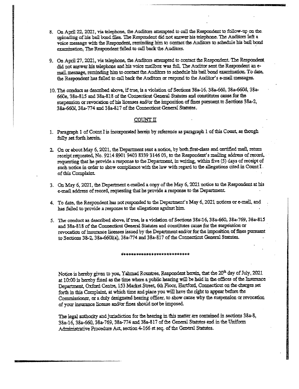- 8. On April 22, 2021, via telephone, the Anditors attempted to call the Respondent to follow-up on the. uploading of his bail bond files. The Respondent did not answer his telephone. The Auditors left a voice message with the Respondent, reminding him to contact the Auditors to schedule his bail bond examination. The Respondent failed to call back the Auditors.
- 9. On April 27, 2021, via telephone, the Auditors attempted to contact the Respondent. The Respondent did not answer his telephone and his voice mailbox was full. The Anditor sent the Respondent an email message, reminding him to contact the Auditors to schedule his bail bond examination. To date, the Respondent has failed to call back the Auditors or respond to the Auditor's e-mail messages.
- 10. The conduct as described above, if true, is a violation of Sections 38a-16, 38a-660, 38a-660d, 38a-660e, 38a-815 and 38a-818 of the Connecticut General Statutes and constitutes canse for the suspension or revocation of his licenses and/or the imposition of fines pursuant to Sections 38a-2, 38a-660I, 38a-774 and 38a-817 of the Connecticut General Statutes.

### $COUNT$   $T$

- 1. Paragraph I of Count I is incorporated herein by reference as paragraph 1 of this Count, as though fully set forth herein.
- 2. On or about May 6, 2021, the Department sent a notice, by both first-class and certified mail, return receipt requested, No. 9214 8901 9403 8339 3146 03, to the Respondent's mailing address of record, requesting that he provide a response to the Department, in writing, within five (5) days of receipt of such notice in order to show compliance with the law with regard to the allegations cited in Count  $I$ . of this Complaint.
- 3. On May 6, 2021, the Department e-mailed a copy of the May 6, 2021 notice to the Respondent at his e-mail address of record, requesting that he provide a response to the Department.
- 4. To date, the Respondent has not responded to the Department's May 6, 2021 notices or e-mail, and has failed to provide a response to the allegations against him.
- 5. The conduct as described above, if true, is a violatipn of Sections 384-16, 38a-660, 38a-769, 38a-815 and 38a-818 of the Connecticut General Statutes and constitutes cause for the suspension or revocation of insurance licenses issued by the Department and/or for the imposition of fines pursuant to Sections 38-2, 38a-6601(a), 38a-774 and 38a-817 of the Connecticat General Statutes,

### \*\*\*\*\*\*\*\*\*\*\*\*\*\*\*\*\*\*\*\*\*\*\*\*\*\*\*

Notice is hereby given to you, Yahmad Rountree, Respondent herein, that the 20<sup>th</sup> day of July, 2021 at 10:00 is hereby fixed as the time where a public hearing will be held in the offices of the Insurance Department, Oxford Centre, 153 Market Street, 6th Floor, Hartford, Connecticut on the charges set forth in this Complaint, at which time and place you will have the right to appear before the Commissioner, or a duly designated hearing officer, to show cause why the suspension or revocation of your insurance license and/or fines, should net be imposed.

The legal authority and jurisdiction for the hearing in this matter are contained in sections 38a-8, 38a-16, 38a-660, 38a-769, 38a-774 and 38a-817 of the General Statutes and in the Uniform Administrative Procedure Act, section 4-166 et seq. of the General Statutes.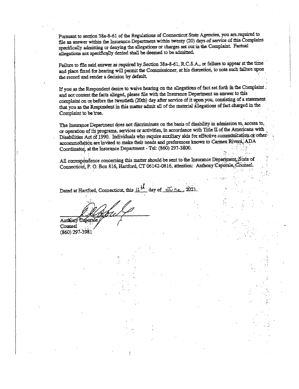Pursuant to section 38a-8-61 of the Regulations of Connecticut State Agencies, you are required to file an answer within the Insurance- Department within twenty (20) days of service of this Complaint specifically admitting or denying the allegations or charges set out in the Complaint. Factual allegations not specifically denied shall be deemed to be admitted.

Failure to file said answer as required by Section 38a-8-61, R.C.S.A., or failure to appear at the time and place fixed for hearing will permit the Commissioner, at his discretion, to note such failure upon the record and render a decision by default

If you as the Respondent desire to waive hearing on the allegations of fact set forth in the Complaint. and not contest the facts alleged, please file with the Insurance Department an answer to this complaint on or before the twentieth (20th) day after service of it upon you, consisting of a statement that you as the Respondent in this matter admit all of the material allegations of fact charged in the Complaint to be true.

The Insurance Department does not discriminate on the basis of disability in admission to, access to, or operation of its programs, services or activities, in accordance with Title II of the Americans with Disabilities Act of 1990. Individuals who require auxiliary aids for effective communication or otheraccommodation are invited to make their needs and preferences known to Carmen Rivera, ADA Coordinator, at the Insurance Department - Tel: (860) 297-3800.

All correspondence concerning this matter should be sent to the Insurance Department, State of Connecticut, P. O. Box 816, Hartford, CT 06142-0816, attention: Anthony Caporale, Counsel.

Dated at Hartford, Connecticut, this  $16\frac{14}{10}$  day of  $\frac{1}{20}$   $\frac{1}{202}$ .

Anthony Caporale

(860) 297-3981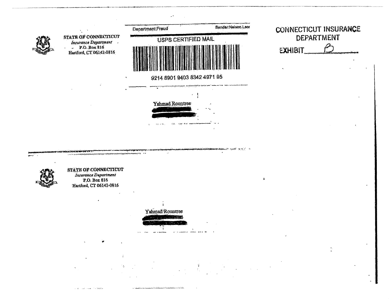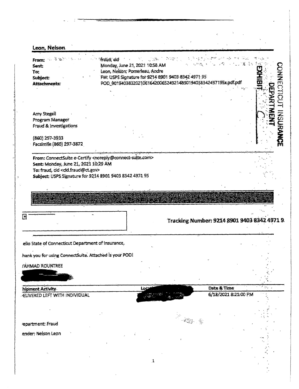Leon. Nelson  $\mathcal{P} \subseteq \mathcal{P}$  . ्तिक के संकटन के संकटन के बाद कर रही है।<br>जनसंख्या के बाद की संकटन के बाद कर रही है कि संकटन के बाद की संकटन के बाद कर रही है जिसके बाद की बाद की बाद की<br>प्राथम के बाद की बाद की बाद की बाद की बाद की बाद की बाद की बाद की बाद From: 麗 奇尼 Monday, June 21, 2021 10:58 AM Sent Leon, Nelson, Pomerleau, Andre To: FW: USPS Signature for 9214 8901 9403 8342 4971 95 **Subject:** POD\_90194038320210616420065249214890194038342497195x.pdf.pdf **Attachments:**  $\widetilde{\mathbf{u}}$ **NISURS Amy Stegall** Program Manager Fraud & Investigations (860) 297-3933 Facsimile (860) 297-3872 From: ConnectSuite e-Certify <noteply@connect-suite.com> Sent: Monday, June 21, 2021 10:29 AM To: fraud. cid <cid.fraud@ct.gov> Subject: USPS Signature for 9214 8901 9403 8342 4971 95  $\mathbb{E}$ Tracking Number: 9214 8901 9403 8342 4971 9 ello State of Connecticut Department of Insurance, hank you for using ConnectSuite. Attached is your POD! **/AHMAD ROUNTREE** Date & Time hipment Activity Loc 6/18/2021 8:21:00 PM **ELIVERED LEFT WITH INDIVIDUAL** epartment: Fraud ender: Nelson Leon  $\mathbf{1}$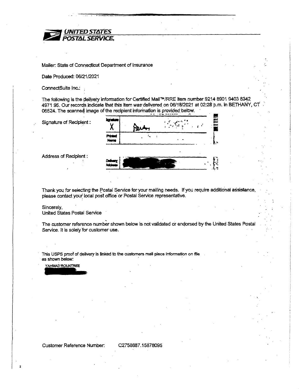

Mailer: State of Connectieut Department of Insurance

Date Produced: 06/21 /2021

ConnectSuite Inc.:

The following is the delivery information for Certified Mail™/RRE item number 9214 8901 9403 8342 4971 95. Our records indicate that this item was delivered on 06/18/2021 at 02:28 p.m. in BETHANY, CT 06524. The scanned image of the recipient information is provided below.

Signature of Recipient:

| Prigate.<br>Navne                |  |  |
|----------------------------------|--|--|
|                                  |  |  |
| Delkery, <sup>7</sup><br>Address |  |  |

Address of Recipient:

Thank you for selecting the Postal Service for your mailing needs. If you require additional assistance, please contact your local post office or Postal Service representative.

### Sincerely,

United States Postal Service

The customer reference number shown below is not validated or endorsed by the United States Postal Service. It is solely for customer use.

This USPS proof of delivery is linked to the customers mall piece information on file as shown below:

YAHMAD ROUNTREE

Customer Reference Number: C2758687.15878D95